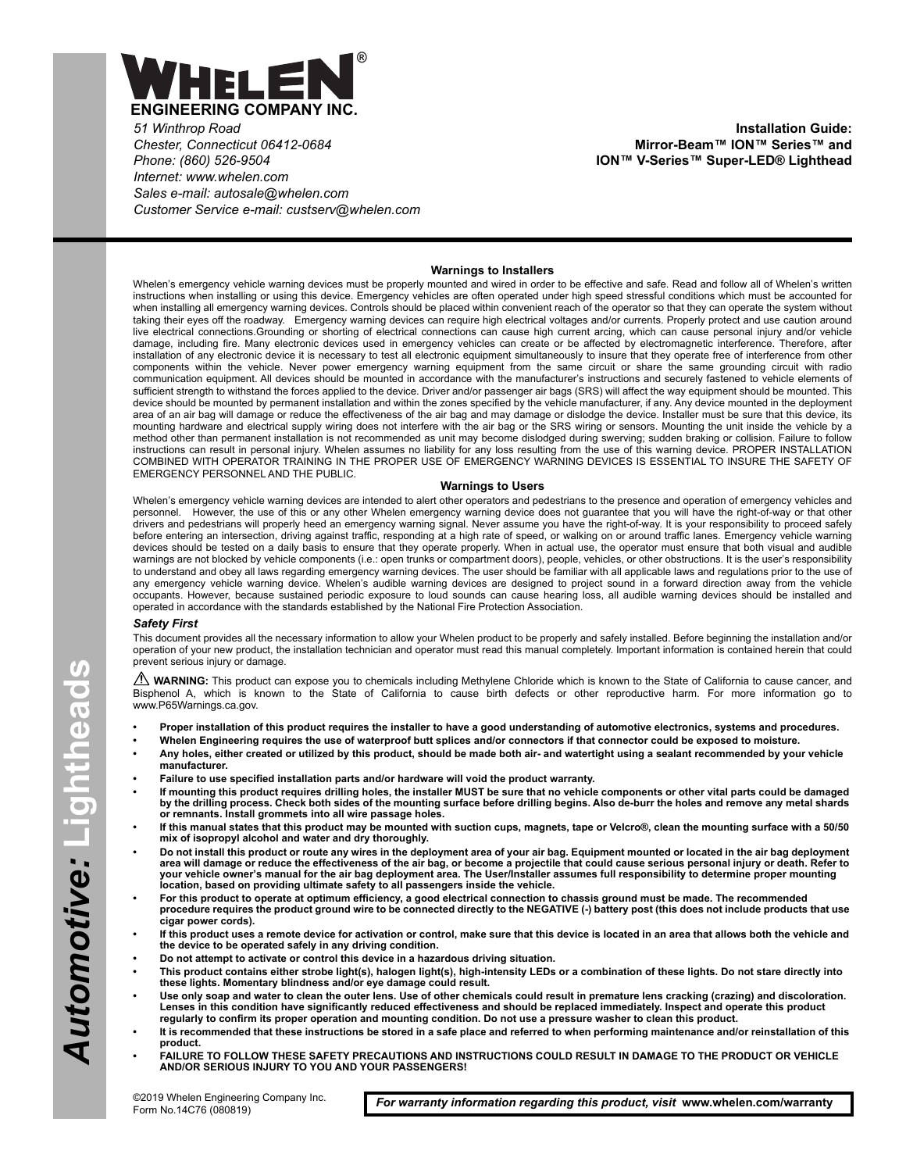

*51 Winthrop Road Chester, Connecticut 06412-0684 Phone: (860) 526-9504 Internet: www.whelen.com Sales e-mail: autosale@whelen.com Customer Service e-mail: custserv@whelen.com*

**Installation Guide: Mirror-Beam™ ION™ Series™ and ION™ V-Series™ Super-LED® Lighthead**

### **Warnings to Installers**

Whelen's emergency vehicle warning devices must be properly mounted and wired in order to be effective and safe. Read and follow all of Whelen's written instructions when installing or using this device. Emergency vehicles are often operated under high speed stressful conditions which must be accounted for when installing all emergency warning devices. Controls should be placed within convenient reach of the operator so that they can operate the system without taking their eyes off the roadway. Emergency warning devices can require high electrical voltages and/or currents. Properly protect and use caution around live electrical connections.Grounding or shorting of electrical connections can cause high current arcing, which can cause personal injury and/or vehicle damage, including fire. Many electronic devices used in emergency vehicles can create or be affected by electromagnetic interference. Therefore, after installation of any electronic device it is necessary to test all electronic equipment simultaneously to insure that they operate free of interference from other components within the vehicle. Never power emergency warning equipment from the same circuit or share the same grounding circuit with radio communication equipment. All devices should be mounted in accordance with the manufacturer's instructions and securely fastened to vehicle elements of sufficient strength to withstand the forces applied to the device. Driver and/or passenger air bags (SRS) will affect the way equipment should be mounted. This device should be mounted by permanent installation and within the zones specified by the vehicle manufacturer, if any. Any device mounted in the deployment area of an air bag will damage or reduce the effectiveness of the air bag and may damage or dislodge the device. Installer must be sure that this device, its mounting hardware and electrical supply wiring does not interfere with the air bag or the SRS wiring or sensors. Mounting the unit inside the vehicle by a method other than permanent installation is not recommended as unit may become dislodged during swerving; sudden braking or collision. Failure to follow instructions can result in personal injury. Whelen assumes no liability for any loss resulting from the use of this warning device. PROPER INSTALLATION COMBINED WITH OPERATOR TRAINING IN THE PROPER USE OF EMERGENCY WARNING DEVICES IS ESSENTIAL TO INSURE THE SAFETY OF EMERGENCY PERSONNEL AND THE PUBLIC.

#### **Warnings to Users**

Whelen's emergency vehicle warning devices are intended to alert other operators and pedestrians to the presence and operation of emergency vehicles and personnel. However, the use of this or any other Whelen emergency warning device does not guarantee that you will have the right-of-way or that other drivers and pedestrians will properly heed an emergency warning signal. Never assume you have the right-of-way. It is your responsibility to proceed safely before entering an intersection, driving against traffic, responding at a high rate of speed, or walking on or around traffic lanes. Emergency vehicle warning devices should be tested on a daily basis to ensure that they operate properly. When in actual use, the operator must ensure that both visual and audible warnings are not blocked by vehicle components (i.e.: open trunks or compartment doors), people, vehicles, or other obstructions. It is the user's responsibility to understand and obey all laws regarding emergency warning devices. The user should be familiar with all applicable laws and regulations prior to the use of<br>any emergency vehicle warning device. Whelen's audible warning d occupants. However, because sustained periodic exposure to loud sounds can cause hearing loss, all audible warning devices should be installed and operated in accordance with the standards established by the National Fire Protection Association.

#### *Safety First*

This document provides all the necessary information to allow your Whelen product to be properly and safely installed. Before beginning the installation and/or operation of your new product, the installation technician and operator must read this manual completely. Important information is contained herein that could prevent serious injury or damage.

WARNING: This product can expose you to chemicals including Methylene Chloride which is known to the State of California to cause cancer, and Bisphenol A, which is known to the State of California to cause birth defects or other reproductive harm. For more information go to www.P65Warnings.ca.gov.

- **Proper installation of this product requires the installer to have a good understanding of automotive electronics, systems and procedures.**
- **Whelen Engineering requires the use of waterproof butt splices and/or connectors if that connector could be exposed to moisture.**
	- **Any holes, either created or utilized by this product, should be made both air- and watertight using a sealant recommended by your vehicle manufacturer.**
- **Failure to use specified installation parts and/or hardware will void the product warranty.**
- **If mounting this product requires drilling holes, the installer MUST be sure that no vehicle components or other vital parts could be damaged by the drilling process. Check both sides of the mounting surface before drilling begins. Also de-burr the holes and remove any metal shards or remnants. Install grommets into all wire passage holes.**
- **If this manual states that this product may be mounted with suction cups, magnets, tape or Velcro®, clean the mounting surface with a 50/50 mix of isopropyl alcohol and water and dry thoroughly.**
- **Do not install this product or route any wires in the deployment area of your air bag. Equipment mounted or located in the air bag deployment area will damage or reduce the effectiveness of the air bag, or become a projectile that could cause serious personal injury or death. Refer to your vehicle owner's manual for the air bag deployment area. The User/Installer assumes full responsibility to determine proper mounting location, based on providing ultimate safety to all passengers inside the vehicle.**
- **For this product to operate at optimum efficiency, a good electrical connection to chassis ground must be made. The recommended procedure requires the product ground wire to be connected directly to the NEGATIVE (-) battery post (this does not include products that use cigar power cords).**
- **If this product uses a remote device for activation or control, make sure that this device is located in an area that allows both the vehicle and the device to be operated safely in any driving condition.**
- **Do not attempt to activate or control this device in a hazardous driving situation.**
- **This product contains either strobe light(s), halogen light(s), high-intensity LEDs or a combination of these lights. Do not stare directly into these lights. Momentary blindness and/or eye damage could result.**
- **Use only soap and water to clean the outer lens. Use of other chemicals could result in premature lens cracking (crazing) and discoloration. Lenses in this condition have significantly reduced effectiveness and should be replaced immediately. Inspect and operate this product regularly to confirm its proper operation and mounting condition. Do not use a pressure washer to clean this product.**
- **It is recommended that these instructions be stored in a safe place and referred to when performing maintenance and/or reinstallation of this product.**
- **FAILURE TO FOLLOW THESE SAFETY PRECAUTIONS AND INSTRUCTIONS COULD RESULT IN DAMAGE TO THE PRODUCT OR VEHICLE AND/OR SERIOUS INJURY TO YOU AND YOUR PASSENGERS!**

For warranty information regarding this product, visit www.whelen.com/warranty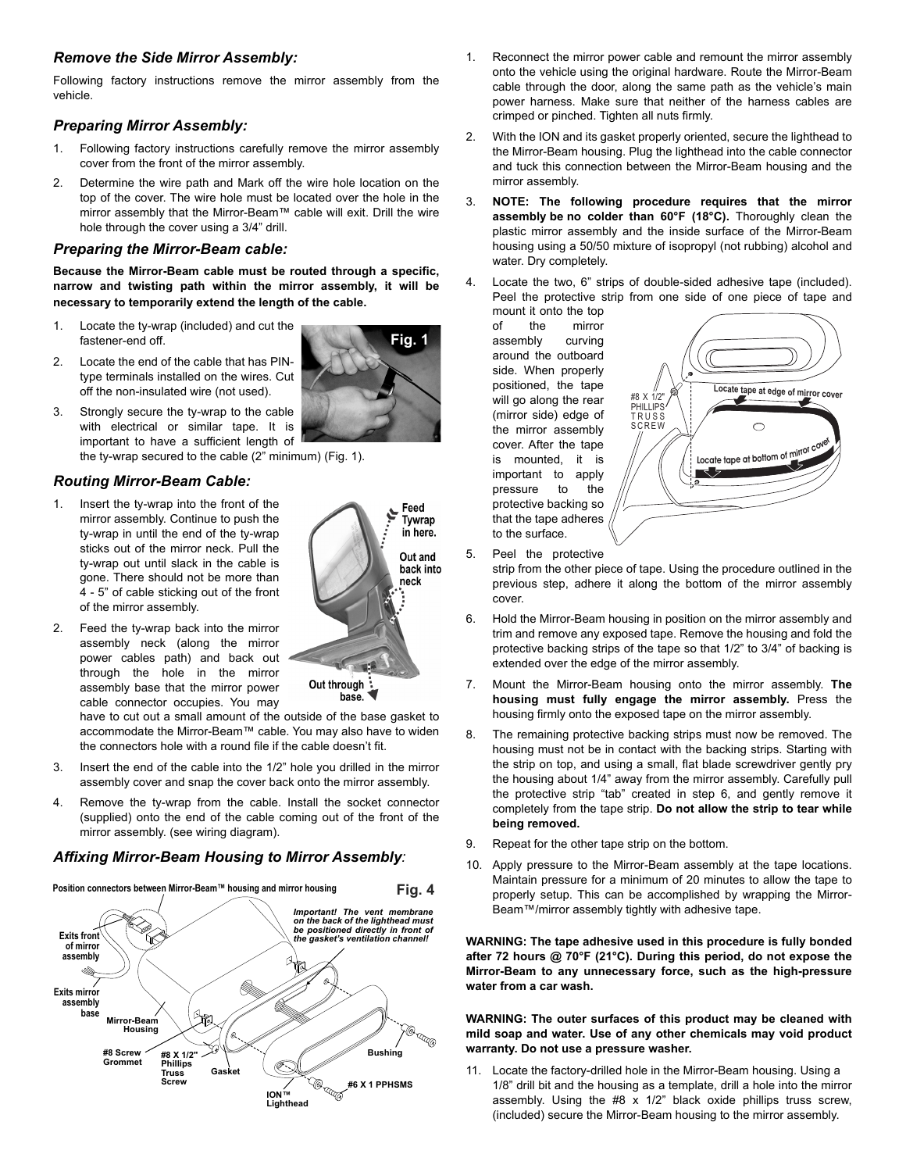## *Remove the Side Mirror Assembly:*

Following factory instructions remove the mirror assembly from the vehicle.

# *Preparing Mirror Assembly:*

- 1. Following factory instructions carefully remove the mirror assembly cover from the front of the mirror assembly.
- 2. Determine the wire path and Mark off the wire hole location on the top of the cover. The wire hole must be located over the hole in the mirror assembly that the Mirror-Beam™ cable will exit. Drill the wire hole through the cover using a 3/4" drill.

# *Preparing the Mirror-Beam cable:*

**Because the Mirror-Beam cable must be routed through a specific, narrow and twisting path within the mirror assembly, it will be necessary to temporarily extend the length of the cable.**

- 1. Locate the ty-wrap (included) and cut the fastener-end off.
- 2. Locate the end of the cable that has PINtype terminals installed on the wires. Cut off the non-insulated wire (not used).



# *Routing Mirror-Beam Cable:*

1. Insert the ty-wrap into the front of the mirror assembly. Continue to push the ty-wrap in until the end of the ty-wrap sticks out of the mirror neck. Pull the ty-wrap out until slack in the cable is gone. There should not be more than 4 - 5" of cable sticking out of the front of the mirror assembly.

2. Feed the ty-wrap back into the mirror assembly neck (along the mirror power cables path) and back out through the hole in the mirror assembly base that the mirror power cable connector occupies. You may



**Fig. 1**

base.

have to cut out a small amount of the outside of the base gasket to accommodate the Mirror-Beam™ cable. You may also have to widen the connectors hole with a round file if the cable doesn't fit.

- 3. Insert the end of the cable into the 1/2" hole you drilled in the mirror assembly cover and snap the cover back onto the mirror assembly.
- 4. Remove the ty-wrap from the cable. Install the socket connector (supplied) onto the end of the cable coming out of the front of the mirror assembly. (see wiring diagram).

## *Affixing Mirror-Beam Housing to Mirror Assembly:*



- 1. Reconnect the mirror power cable and remount the mirror assembly onto the vehicle using the original hardware. Route the Mirror-Beam cable through the door, along the same path as the vehicle's main power harness. Make sure that neither of the harness cables are crimped or pinched. Tighten all nuts firmly.
- 2. With the ION and its gasket properly oriented, secure the lighthead to the Mirror-Beam housing. Plug the lighthead into the cable connector and tuck this connection between the Mirror-Beam housing and the mirror assembly.
- 3. **NOTE: The following procedure requires that the mirror assembly be no colder than 60°F (18°C).** Thoroughly clean the plastic mirror assembly and the inside surface of the Mirror-Beam housing using a 50/50 mixture of isopropyl (not rubbing) alcohol and water. Dry completely.
- 4. Locate the two, 6" strips of double-sided adhesive tape (included). Peel the protective strip from one side of one piece of tape and mount it onto the top

of the mirror assembly curving around the outboard side. When properly positioned, the tape will go along the rear (mirror side) edge of the mirror assembly cover. After the tape is mounted, it is important to apply pressure to the protective backing so that the tape adheres to the surface.



- 5. Peel the protective strip from the other piece of tape. Using the procedure outlined in the previous step, adhere it along the bottom of the mirror assembly cover.
- 6. Hold the Mirror-Beam housing in position on the mirror assembly and trim and remove any exposed tape. Remove the housing and fold the protective backing strips of the tape so that 1/2" to 3/4" of backing is extended over the edge of the mirror assembly.
- 7. Mount the Mirror-Beam housing onto the mirror assembly. **The housing must fully engage the mirror assembly.** Press the housing firmly onto the exposed tape on the mirror assembly.
- 8. The remaining protective backing strips must now be removed. The housing must not be in contact with the backing strips. Starting with the strip on top, and using a small, flat blade screwdriver gently pry the housing about 1/4" away from the mirror assembly. Carefully pull the protective strip "tab" created in step 6, and gently remove it completely from the tape strip. **Do not allow the strip to tear while being removed.**
- Repeat for the other tape strip on the bottom.
- 10. Apply pressure to the Mirror-Beam assembly at the tape locations. Maintain pressure for a minimum of 20 minutes to allow the tape to properly setup. This can be accomplished by wrapping the Mirror-Beam™/mirror assembly tightly with adhesive tape.

**WARNING: The tape adhesive used in this procedure is fully bonded after 72 hours @ 70°F (21°C). During this period, do not expose the Mirror-Beam to any unnecessary force, such as the high-pressure water from a car wash.**

**WARNING: The outer surfaces of this product may be cleaned with mild soap and water. Use of any other chemicals may void product warranty. Do not use a pressure washer.**

11. Locate the factory-drilled hole in the Mirror-Beam housing. Using a 1/8" drill bit and the housing as a template, drill a hole into the mirror assembly. Using the #8 x 1/2" black oxide phillips truss screw, (included) secure the Mirror-Beam housing to the mirror assembly.